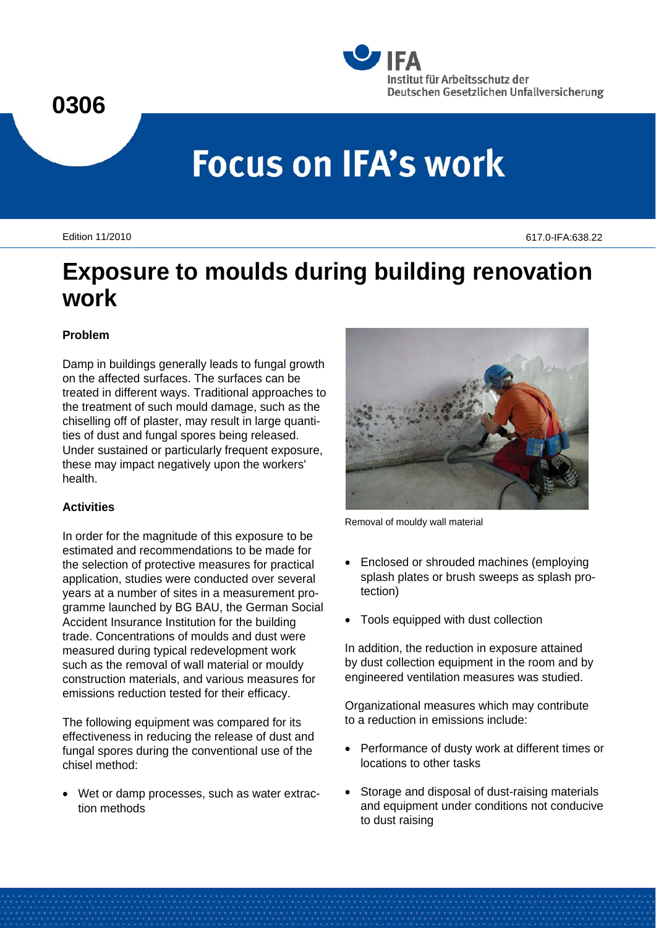### **0306**



# **Focus on IFA's work**

Edition 11/2010 617.0-IFA:638.22

## **Exposure to moulds during building renovation work**

#### **Problem**

Damp in buildings generally leads to fungal growth on the affected surfaces. The surfaces can be treated in different ways. Traditional approaches to the treatment of such mould damage, such as the chiselling off of plaster, may result in large quantities of dust and fungal spores being released. Under sustained or particularly frequent exposure, these may impact negatively upon the workers' health.

#### **Activities**

In order for the magnitude of this exposure to be estimated and recommendations to be made for the selection of protective measures for practical application, studies were conducted over several years at a number of sites in a measurement programme launched by BG BAU, the German Social Accident Insurance Institution for the building trade. Concentrations of moulds and dust were measured during typical redevelopment work such as the removal of wall material or mouldy construction materials, and various measures for emissions reduction tested for their efficacy.

The following equipment was compared for its effectiveness in reducing the release of dust and fungal spores during the conventional use of the chisel method:

 Wet or damp processes, such as water extraction methods



Removal of mouldy wall material

- Enclosed or shrouded machines (employing splash plates or brush sweeps as splash protection)
- Tools equipped with dust collection

In addition, the reduction in exposure attained by dust collection equipment in the room and by engineered ventilation measures was studied.

Organizational measures which may contribute to a reduction in emissions include:

- Performance of dusty work at different times or locations to other tasks
- Storage and disposal of dust-raising materials and equipment under conditions not conducive to dust raising